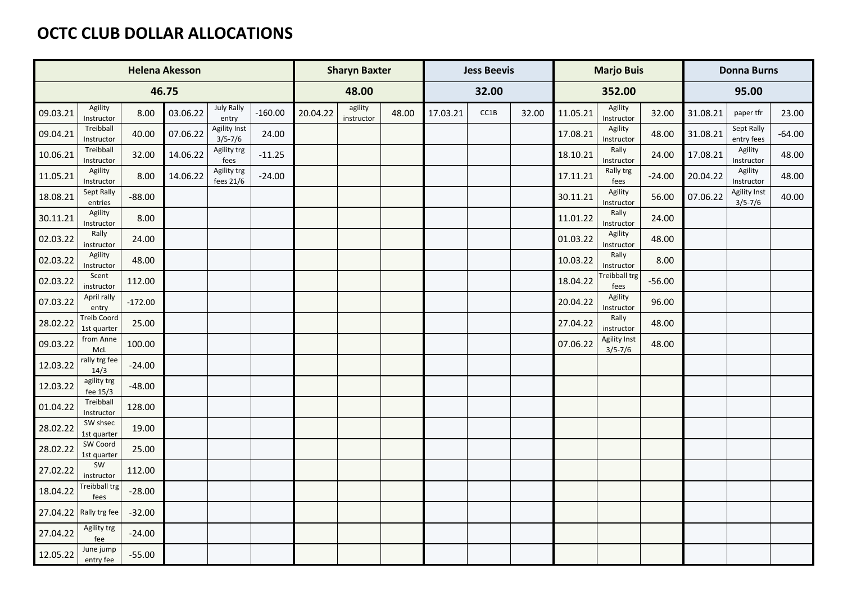## **OCTC CLUB DOLLAR ALLOCATIONS**

|          |                              |           | <b>Helena Akesson</b> |                             |           | <b>Sharyn Baxter</b> |                       |       |          | <b>Jess Beevis</b> |       |          | <b>Marjo Buis</b>            |          | <b>Donna Burns</b> |                                    |          |
|----------|------------------------------|-----------|-----------------------|-----------------------------|-----------|----------------------|-----------------------|-------|----------|--------------------|-------|----------|------------------------------|----------|--------------------|------------------------------------|----------|
|          |                              |           | 46.75                 |                             |           |                      | 48.00                 |       |          | 32.00              |       |          | 352.00                       |          |                    | 95.00                              |          |
| 09.03.21 | Agility<br>Instructor        | 8.00      | 03.06.22              | <b>July Rally</b><br>entry  | $-160.00$ | 20.04.22             | agility<br>instructor | 48.00 | 17.03.21 | CC1B               | 32.00 | 11.05.21 | Agility<br>Instructor        | 32.00    | 31.08.21           | paper tfr                          | 23.00    |
| 09.04.21 | Treibball<br>Instructor      | 40.00     | 07.06.22              | Agility Inst<br>$3/5 - 7/6$ | 24.00     |                      |                       |       |          |                    |       | 17.08.21 | Agility<br>Instructor        | 48.00    | 31.08.21           | Sept Rally<br>entry fees           | $-64.00$ |
| 10.06.21 | Treibball<br>Instructor      | 32.00     | 14.06.22              | Agility trg<br>fees         | $-11.25$  |                      |                       |       |          |                    |       | 18.10.21 | Rally<br>Instructor          | 24.00    | 17.08.21           | Agility<br>Instructor              | 48.00    |
| 11.05.21 | Agility<br>Instructor        | 8.00      | 14.06.22              | Agility trg<br>fees 21/6    | $-24.00$  |                      |                       |       |          |                    |       | 17.11.21 | Rally trg<br>fees            | $-24.00$ | 20.04.22           | Agility<br>Instructor              | 48.00    |
| 18.08.21 | Sept Rally<br>entries        | $-88.00$  |                       |                             |           |                      |                       |       |          |                    |       | 30.11.21 | Agility<br>Instructor        | 56.00    | 07.06.22           | <b>Agility Inst</b><br>$3/5 - 7/6$ | 40.00    |
| 30.11.21 | Agility<br>Instructor        | 8.00      |                       |                             |           |                      |                       |       |          |                    |       | 11.01.22 | Rally<br>Instructor          | 24.00    |                    |                                    |          |
| 02.03.22 | Rally<br>instructor          | 24.00     |                       |                             |           |                      |                       |       |          |                    |       | 01.03.22 | Agility<br>Instructor        | 48.00    |                    |                                    |          |
| 02.03.22 | Agility<br>Instructor        | 48.00     |                       |                             |           |                      |                       |       |          |                    |       | 10.03.22 | Rally<br>Instructor          | 8.00     |                    |                                    |          |
| 02.03.22 | Scent<br>instructor          | 112.00    |                       |                             |           |                      |                       |       |          |                    |       | 18.04.22 | <b>Treibball trg</b><br>fees | $-56.00$ |                    |                                    |          |
| 07.03.22 | April rally<br>entry         | $-172.00$ |                       |                             |           |                      |                       |       |          |                    |       | 20.04.22 | Agility<br>Instructor        | 96.00    |                    |                                    |          |
| 28.02.22 | Treib Coord<br>1st quarter   | 25.00     |                       |                             |           |                      |                       |       |          |                    |       | 27.04.22 | Rally<br>instructor          | 48.00    |                    |                                    |          |
| 09.03.22 | from Anne<br>McL             | 100.00    |                       |                             |           |                      |                       |       |          |                    |       | 07.06.22 | Agility Inst<br>$3/5 - 7/6$  | 48.00    |                    |                                    |          |
| 12.03.22 | rally trg fee<br>14/3        | $-24.00$  |                       |                             |           |                      |                       |       |          |                    |       |          |                              |          |                    |                                    |          |
| 12.03.22 | agility trg<br>fee 15/3      | $-48.00$  |                       |                             |           |                      |                       |       |          |                    |       |          |                              |          |                    |                                    |          |
| 01.04.22 | Treibball<br>Instructor      | 128.00    |                       |                             |           |                      |                       |       |          |                    |       |          |                              |          |                    |                                    |          |
| 28.02.22 | SW shsec<br>1st quarter      | 19.00     |                       |                             |           |                      |                       |       |          |                    |       |          |                              |          |                    |                                    |          |
| 28.02.22 | SW Coord<br>1st quarter      | 25.00     |                       |                             |           |                      |                       |       |          |                    |       |          |                              |          |                    |                                    |          |
| 27.02.22 | SW<br>instructor             | 112.00    |                       |                             |           |                      |                       |       |          |                    |       |          |                              |          |                    |                                    |          |
| 18.04.22 | <b>Treibball trg</b><br>fees | $-28.00$  |                       |                             |           |                      |                       |       |          |                    |       |          |                              |          |                    |                                    |          |
|          | $27.04.22$ Rally trg fee     | $-32.00$  |                       |                             |           |                      |                       |       |          |                    |       |          |                              |          |                    |                                    |          |
| 27.04.22 | Agility trg<br>fee           | $-24.00$  |                       |                             |           |                      |                       |       |          |                    |       |          |                              |          |                    |                                    |          |
| 12.05.22 | June jump<br>entry fee       | $-55.00$  |                       |                             |           |                      |                       |       |          |                    |       |          |                              |          |                    |                                    |          |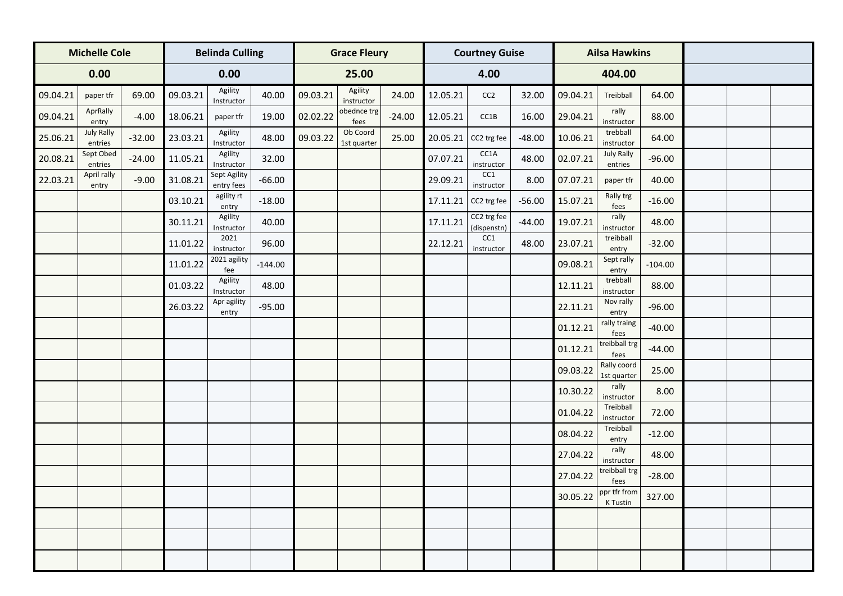|          | <b>Michelle Cole</b>         |          |          | <b>Belinda Culling</b>     |           |          | <b>Grace Fleury</b>     |          |          | <b>Courtney Guise</b>      |          |          | <b>Ailsa Hawkins</b>         |           |  |  |
|----------|------------------------------|----------|----------|----------------------------|-----------|----------|-------------------------|----------|----------|----------------------------|----------|----------|------------------------------|-----------|--|--|
|          | 0.00                         |          |          | 0.00                       |           |          | 25.00                   |          |          | 4.00                       |          |          | 404.00                       |           |  |  |
| 09.04.21 | paper tfr                    | 69.00    | 09.03.21 | Agility<br>Instructor      | 40.00     | 09.03.21 | Agility<br>instructor   | 24.00    | 12.05.21 | CC2                        | 32.00    | 09.04.21 | Treibball                    | 64.00     |  |  |
| 09.04.21 | AprRally<br>entry            | $-4.00$  | 18.06.21 | paper tfr                  | 19.00     | 02.02.22 | obednce trg<br>fees     | $-24.00$ | 12.05.21 | CC1B                       | 16.00    | 29.04.21 | rally<br>instructor          | 88.00     |  |  |
| 25.06.21 | <b>July Rally</b><br>entries | $-32.00$ | 23.03.21 | Agility<br>Instructor      | 48.00     | 09.03.22 | Ob Coord<br>1st quarter | 25.00    | 20.05.21 | CC2 trg fee                | $-48.00$ | 10.06.21 | trebball<br>instructor       | 64.00     |  |  |
| 20.08.21 | Sept Obed<br>entries         | $-24.00$ | 11.05.21 | Agility<br>Instructor      | 32.00     |          |                         |          | 07.07.21 | CC1A<br>instructor         | 48.00    | 02.07.21 | <b>July Rally</b><br>entries | $-96.00$  |  |  |
| 22.03.21 | April rally<br>entry         | $-9.00$  | 31.08.21 | Sept Agility<br>entry fees | $-66.00$  |          |                         |          | 29.09.21 | CC1<br>instructor          | 8.00     | 07.07.21 | paper tfr                    | 40.00     |  |  |
|          |                              |          | 03.10.21 | agility rt<br>entry        | $-18.00$  |          |                         |          | 17.11.21 | CC2 trg fee                | $-56.00$ | 15.07.21 | Rally trg<br>fees            | $-16.00$  |  |  |
|          |                              |          | 30.11.21 | Agility<br>Instructor      | 40.00     |          |                         |          | 17.11.21 | CC2 trg fee<br>(dispenstn) | $-44.00$ | 19.07.21 | rally<br>instructor          | 48.00     |  |  |
|          |                              |          | 11.01.22 | 2021<br>instructor         | 96.00     |          |                         |          | 22.12.21 | CC1<br>instructor          | 48.00    | 23.07.21 | treibball<br>entry           | $-32.00$  |  |  |
|          |                              |          | 11.01.22 | 2021 agility<br>fee        | $-144.00$ |          |                         |          |          |                            |          | 09.08.21 | Sept rally<br>entry          | $-104.00$ |  |  |
|          |                              |          | 01.03.22 | Agility<br>Instructor      | 48.00     |          |                         |          |          |                            |          | 12.11.21 | trebball<br>instructor       | 88.00     |  |  |
|          |                              |          | 26.03.22 | Apr agility<br>entry       | $-95.00$  |          |                         |          |          |                            |          | 22.11.21 | Nov rally<br>entry           | $-96.00$  |  |  |
|          |                              |          |          |                            |           |          |                         |          |          |                            |          | 01.12.21 | rally traing<br>fees         | $-40.00$  |  |  |
|          |                              |          |          |                            |           |          |                         |          |          |                            |          | 01.12.21 | treibball trg<br>fees        | $-44.00$  |  |  |
|          |                              |          |          |                            |           |          |                         |          |          |                            |          | 09.03.22 | Rally coord<br>1st quarter   | 25.00     |  |  |
|          |                              |          |          |                            |           |          |                         |          |          |                            |          | 10.30.22 | rally<br>instructor          | 8.00      |  |  |
|          |                              |          |          |                            |           |          |                         |          |          |                            |          | 01.04.22 | Treibball<br>instructor      | 72.00     |  |  |
|          |                              |          |          |                            |           |          |                         |          |          |                            |          | 08.04.22 | Treibball<br>entry           | $-12.00$  |  |  |
|          |                              |          |          |                            |           |          |                         |          |          |                            |          | 27.04.22 | rally<br>instructor          | 48.00     |  |  |
|          |                              |          |          |                            |           |          |                         |          |          |                            |          | 27.04.22 | treibball trg<br>fees        | $-28.00$  |  |  |
|          |                              |          |          |                            |           |          |                         |          |          |                            |          | 30.05.22 | ppr tfr from<br>K Tustin     | 327.00    |  |  |
|          |                              |          |          |                            |           |          |                         |          |          |                            |          |          |                              |           |  |  |
|          |                              |          |          |                            |           |          |                         |          |          |                            |          |          |                              |           |  |  |
|          |                              |          |          |                            |           |          |                         |          |          |                            |          |          |                              |           |  |  |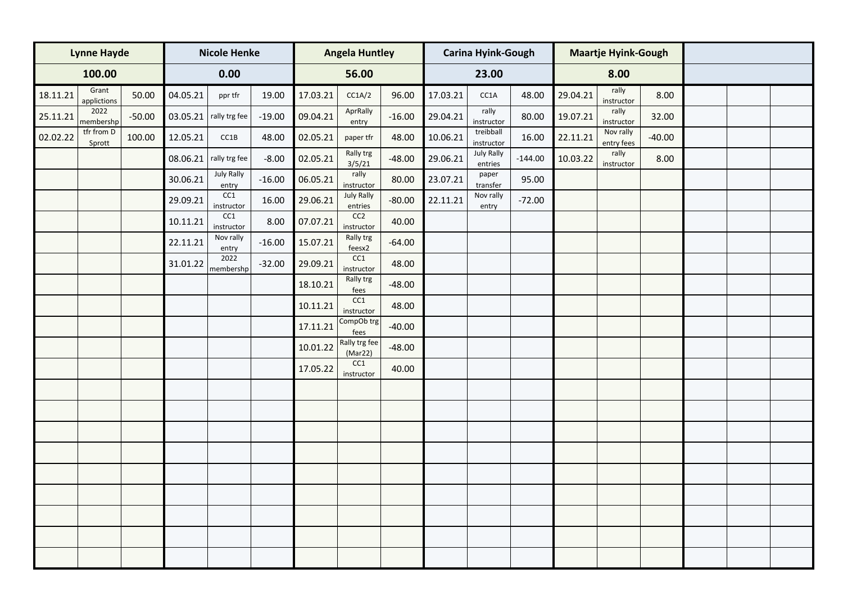|          | <b>Lynne Hayde</b>   |          |          | <b>Nicole Henke</b>      |          |          | <b>Angela Huntley</b>         |          |          | <b>Carina Hyink-Gough</b>    |           |          | <b>Maartje Hyink-Gough</b> |          |  |  |
|----------|----------------------|----------|----------|--------------------------|----------|----------|-------------------------------|----------|----------|------------------------------|-----------|----------|----------------------------|----------|--|--|
|          | 100.00               |          |          | 0.00                     |          |          | 56.00                         |          |          | 23.00                        |           |          | 8.00                       |          |  |  |
| 18.11.21 | Grant<br>applictions | 50.00    | 04.05.21 | ppr tfr                  | 19.00    | 17.03.21 | CC1A/2                        | 96.00    | 17.03.21 | CC1A                         | 48.00     | 29.04.21 | rally<br>instructor        | 8.00     |  |  |
| 25.11.21 | 2022<br>membershp    | $-50.00$ | 03.05.21 | rally trg fee            | $-19.00$ | 09.04.21 | AprRally<br>entry             | $-16.00$ | 29.04.21 | rally<br>instructor          | 80.00     | 19.07.21 | rally<br>instructor        | 32.00    |  |  |
| 02.02.22 | tfr from D<br>Sprott | 100.00   | 12.05.21 | CC1B                     | 48.00    | 02.05.21 | paper tfr                     | 48.00    | 10.06.21 | treibball<br>instructor      | 16.00     | 22.11.21 | Nov rally<br>entry fees    | $-40.00$ |  |  |
|          |                      |          |          | $08.06.21$ rally trg fee | $-8.00$  | 02.05.21 | Rally trg<br>3/5/21           | $-48.00$ | 29.06.21 | <b>July Rally</b><br>entries | $-144.00$ | 10.03.22 | rally<br>instructor        | 8.00     |  |  |
|          |                      |          | 30.06.21 | July Rally<br>entry      | $-16.00$ | 06.05.21 | rally<br>instructor           | 80.00    | 23.07.21 | paper<br>transfer            | 95.00     |          |                            |          |  |  |
|          |                      |          | 29.09.21 | CC1<br>instructor        | 16.00    | 29.06.21 | <b>July Rally</b><br>entries  | $-80.00$ | 22.11.21 | Nov rally<br>entry           | $-72.00$  |          |                            |          |  |  |
|          |                      |          | 10.11.21 | CC1<br>instructor        | 8.00     | 07.07.21 | CC <sub>2</sub><br>instructor | 40.00    |          |                              |           |          |                            |          |  |  |
|          |                      |          | 22.11.21 | Nov rally<br>entry       | $-16.00$ | 15.07.21 | Rally trg<br>feesx2           | $-64.00$ |          |                              |           |          |                            |          |  |  |
|          |                      |          | 31.01.22 | 2022<br>membershp        | $-32.00$ | 29.09.21 | CC1<br>instructor             | 48.00    |          |                              |           |          |                            |          |  |  |
|          |                      |          |          |                          |          | 18.10.21 | Rally trg<br>fees             | $-48.00$ |          |                              |           |          |                            |          |  |  |
|          |                      |          |          |                          |          | 10.11.21 | CC1<br>instructor             | 48.00    |          |                              |           |          |                            |          |  |  |
|          |                      |          |          |                          |          | 17.11.21 | CompOb trg<br>fees            | $-40.00$ |          |                              |           |          |                            |          |  |  |
|          |                      |          |          |                          |          | 10.01.22 | Rally trg fee<br>(Mar22)      | $-48.00$ |          |                              |           |          |                            |          |  |  |
|          |                      |          |          |                          |          | 17.05.22 | CC1<br>instructor             | 40.00    |          |                              |           |          |                            |          |  |  |
|          |                      |          |          |                          |          |          |                               |          |          |                              |           |          |                            |          |  |  |
|          |                      |          |          |                          |          |          |                               |          |          |                              |           |          |                            |          |  |  |
|          |                      |          |          |                          |          |          |                               |          |          |                              |           |          |                            |          |  |  |
|          |                      |          |          |                          |          |          |                               |          |          |                              |           |          |                            |          |  |  |
|          |                      |          |          |                          |          |          |                               |          |          |                              |           |          |                            |          |  |  |
|          |                      |          |          |                          |          |          |                               |          |          |                              |           |          |                            |          |  |  |
|          |                      |          |          |                          |          |          |                               |          |          |                              |           |          |                            |          |  |  |
|          |                      |          |          |                          |          |          |                               |          |          |                              |           |          |                            |          |  |  |
|          |                      |          |          |                          |          |          |                               |          |          |                              |           |          |                            |          |  |  |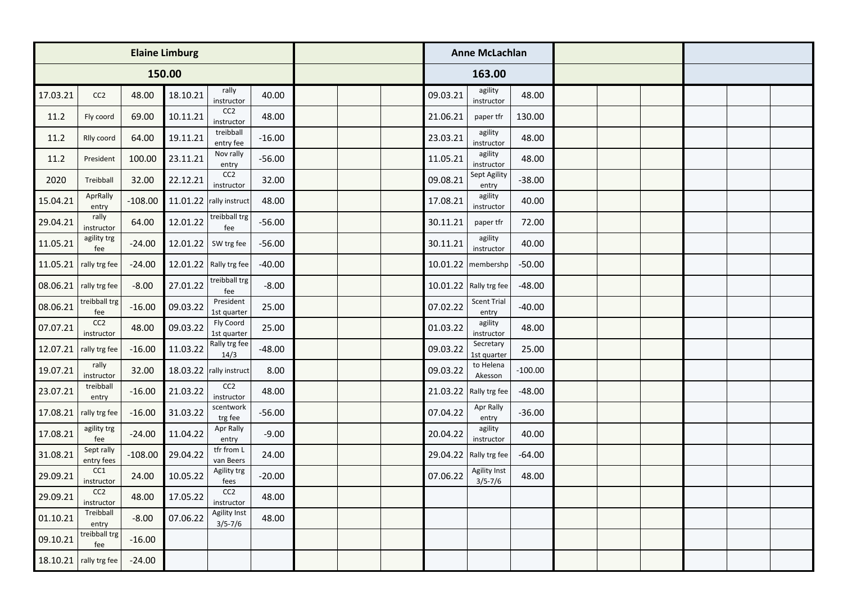|          |                               |           | <b>Elaine Limburg</b> |                                    |          |  |  |  |          | <b>Anne McLachlan</b>              |           |  |  |  |
|----------|-------------------------------|-----------|-----------------------|------------------------------------|----------|--|--|--|----------|------------------------------------|-----------|--|--|--|
|          |                               |           | 150.00                |                                    |          |  |  |  |          | 163.00                             |           |  |  |  |
| 17.03.21 | CC2                           | 48.00     | 18.10.21              | rally<br>instructor                | 40.00    |  |  |  | 09.03.21 | agility<br>instructor              | 48.00     |  |  |  |
| 11.2     | Fly coord                     | 69.00     | 10.11.21              | CC <sub>2</sub><br>instructor      | 48.00    |  |  |  | 21.06.21 | paper tfr                          | 130.00    |  |  |  |
| 11.2     | Rlly coord                    | 64.00     | 19.11.21              | treibball<br>entry fee             | $-16.00$ |  |  |  | 23.03.21 | agility<br>instructor              | 48.00     |  |  |  |
| 11.2     | President                     | 100.00    | 23.11.21              | Nov rally<br>entry                 | $-56.00$ |  |  |  | 11.05.21 | agility<br>instructor              | 48.00     |  |  |  |
| 2020     | Treibball                     | 32.00     | 22.12.21              | CC <sub>2</sub><br>instructor      | 32.00    |  |  |  | 09.08.21 | Sept Agility<br>entry              | $-38.00$  |  |  |  |
| 15.04.21 | AprRally<br>entry             | $-108.00$ |                       | 11.01.22 rally instruct            | 48.00    |  |  |  | 17.08.21 | agility<br>instructor              | 40.00     |  |  |  |
| 29.04.21 | rally<br>instructor           | 64.00     | 12.01.22              | treibball trg<br>fee               | $-56.00$ |  |  |  | 30.11.21 | paper tfr                          | 72.00     |  |  |  |
| 11.05.21 | agility trg<br>fee            | $-24.00$  | 12.01.22              | SW trg fee                         | $-56.00$ |  |  |  | 30.11.21 | agility<br>instructor              | 40.00     |  |  |  |
| 11.05.21 | rally trg fee                 | $-24.00$  | 12.01.22              | Rally trg fee                      | $-40.00$ |  |  |  | 10.01.22 | membershp                          | $-50.00$  |  |  |  |
| 08.06.21 | rally trg fee                 | $-8.00$   | 27.01.22              | treibball trg<br>fee               | $-8.00$  |  |  |  |          | 10.01.22 Rally trg fee             | $-48.00$  |  |  |  |
| 08.06.21 | treibball trg<br>fee          | $-16.00$  | 09.03.22              | President<br>1st quarter           | 25.00    |  |  |  | 07.02.22 | <b>Scent Trial</b><br>entry        | $-40.00$  |  |  |  |
| 07.07.21 | CC <sub>2</sub><br>instructor | 48.00     | 09.03.22              | Fly Coord<br>1st quarter           | 25.00    |  |  |  | 01.03.22 | agility<br>instructor              | 48.00     |  |  |  |
| 12.07.21 | rally trg fee                 | $-16.00$  | 11.03.22              | Rally trg fee<br>14/3              | $-48.00$ |  |  |  | 09.03.22 | Secretary<br>1st quarter           | 25.00     |  |  |  |
| 19.07.21 | rally<br>instructor           | 32.00     |                       | 18.03.22 rally instruct            | 8.00     |  |  |  | 09.03.22 | to Helena<br>Akesson               | $-100.00$ |  |  |  |
| 23.07.21 | treibball<br>entry            | $-16.00$  | 21.03.22              | CC <sub>2</sub><br>instructor      | 48.00    |  |  |  |          | 21.03.22 Rally trg fee             | $-48.00$  |  |  |  |
| 17.08.21 | rally trg fee                 | $-16.00$  | 31.03.22              | scentwork<br>trg fee               | $-56.00$ |  |  |  | 07.04.22 | Apr Rally<br>entry                 | $-36.00$  |  |  |  |
| 17.08.21 | agility trg<br>fee            | $-24.00$  | 11.04.22              | Apr Rally<br>entry                 | $-9.00$  |  |  |  | 20.04.22 | agility<br>instructor              | 40.00     |  |  |  |
| 31.08.21 | Sept rally<br>entry fees      | $-108.00$ | 29.04.22              | tfr from L<br>van Beers            | 24.00    |  |  |  |          | 29.04.22   Rally trg fee           | $-64.00$  |  |  |  |
| 29.09.21 | CC1<br>instructor             | 24.00     | 10.05.22              | Agility trg<br>fees                | $-20.00$ |  |  |  | 07.06.22 | <b>Agility Inst</b><br>$3/5 - 7/6$ | 48.00     |  |  |  |
| 29.09.21 | CC <sub>2</sub><br>instructor | 48.00     | 17.05.22              | CC <sub>2</sub><br>instructor      | 48.00    |  |  |  |          |                                    |           |  |  |  |
| 01.10.21 | Treibball<br>entry            | $-8.00$   | 07.06.22              | <b>Agility Inst</b><br>$3/5 - 7/6$ | 48.00    |  |  |  |          |                                    |           |  |  |  |
| 09.10.21 | treibball trg<br>fee          | $-16.00$  |                       |                                    |          |  |  |  |          |                                    |           |  |  |  |
| 18.10.21 | rally trg fee                 | $-24.00$  |                       |                                    |          |  |  |  |          |                                    |           |  |  |  |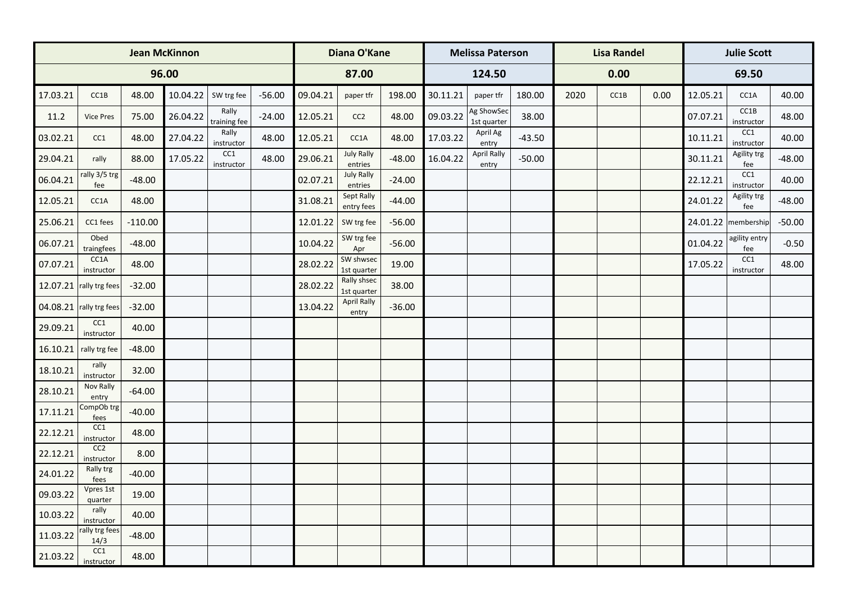|          |                               |           | <b>Jean McKinnon</b> |                       |          | Diana O'Kane |                              |          |          | <b>Melissa Paterson</b>   |          |      | <b>Lisa Randel</b> |      | <b>Julie Scott</b> |                      |          |  |
|----------|-------------------------------|-----------|----------------------|-----------------------|----------|--------------|------------------------------|----------|----------|---------------------------|----------|------|--------------------|------|--------------------|----------------------|----------|--|
|          |                               |           | 96.00                |                       |          |              | 87.00                        |          |          | 124.50                    |          |      | 0.00               |      |                    | 69.50                |          |  |
| 17.03.21 | CC1B                          | 48.00     | 10.04.22             | SW trg fee            | $-56.00$ | 09.04.21     | paper tfr                    | 198.00   | 30.11.21 | paper tfr                 | 180.00   | 2020 | CC1B               | 0.00 | 12.05.21           | CC1A                 | 40.00    |  |
| 11.2     | Vice Pres                     | 75.00     | 26.04.22             | Rally<br>training fee | $-24.00$ | 12.05.21     | CC <sub>2</sub>              | 48.00    | 09.03.22 | Ag ShowSec<br>1st quarter | 38.00    |      |                    |      | 07.07.21           | CC1B<br>instructor   | 48.00    |  |
| 03.02.21 | CC1                           | 48.00     | 27.04.22             | Rally<br>instructor   | 48.00    | 12.05.21     | CC1A                         | 48.00    | 17.03.22 | April Ag<br>entry         | $-43.50$ |      |                    |      | 10.11.21           | CC1<br>instructor    | 40.00    |  |
| 29.04.21 | rally                         | 88.00     | 17.05.22             | CC1<br>instructor     | 48.00    | 29.06.21     | <b>July Rally</b><br>entries | $-48.00$ | 16.04.22 | April Rally<br>entry      | $-50.00$ |      |                    |      | 30.11.21           | Agility trg<br>fee   | $-48.00$ |  |
| 06.04.21 | rally 3/5 trg<br>fee          | $-48.00$  |                      |                       |          | 02.07.21     | <b>July Rally</b><br>entries | $-24.00$ |          |                           |          |      |                    |      | 22.12.21           | CC1<br>instructor    | 40.00    |  |
| 12.05.21 | CC1A                          | 48.00     |                      |                       |          | 31.08.21     | Sept Rally<br>entry fees     | $-44.00$ |          |                           |          |      |                    |      | 24.01.22           | Agility trg<br>fee   | $-48.00$ |  |
| 25.06.21 | CC1 fees                      | $-110.00$ |                      |                       |          | 12.01.22     | SW trg fee                   | $-56.00$ |          |                           |          |      |                    |      |                    | 24.01.22 membership  | $-50.00$ |  |
| 06.07.21 | Obed<br>traingfees            | $-48.00$  |                      |                       |          | 10.04.22     | SW trg fee<br>Apr            | $-56.00$ |          |                           |          |      |                    |      | 01.04.22           | agility entry<br>fee | $-0.50$  |  |
| 07.07.21 | CC1A<br>instructor            | 48.00     |                      |                       |          | 28.02.22     | SW shwsec<br>1st quarter     | 19.00    |          |                           |          |      |                    |      | 17.05.22           | CC1<br>instructor    | 48.00    |  |
|          | 12.07.21 $ $ rally trg fees   | $-32.00$  |                      |                       |          | 28.02.22     | Rally shsec<br>1st quarter   | 38.00    |          |                           |          |      |                    |      |                    |                      |          |  |
|          | $04.08.21$ rally trg fees     | $-32.00$  |                      |                       |          | 13.04.22     | <b>April Rally</b><br>entry  | $-36.00$ |          |                           |          |      |                    |      |                    |                      |          |  |
| 29.09.21 | CC1<br>instructor             | 40.00     |                      |                       |          |              |                              |          |          |                           |          |      |                    |      |                    |                      |          |  |
| 16.10.21 | rally trg fee                 | $-48.00$  |                      |                       |          |              |                              |          |          |                           |          |      |                    |      |                    |                      |          |  |
| 18.10.21 | rally<br>instructor           | 32.00     |                      |                       |          |              |                              |          |          |                           |          |      |                    |      |                    |                      |          |  |
| 28.10.21 | Nov Rally<br>entry            | $-64.00$  |                      |                       |          |              |                              |          |          |                           |          |      |                    |      |                    |                      |          |  |
| 17.11.21 | CompOb trg<br>fees            | $-40.00$  |                      |                       |          |              |                              |          |          |                           |          |      |                    |      |                    |                      |          |  |
| 22.12.21 | CC1<br>instructor             | 48.00     |                      |                       |          |              |                              |          |          |                           |          |      |                    |      |                    |                      |          |  |
| 22.12.21 | CC <sub>2</sub><br>instructor | 8.00      |                      |                       |          |              |                              |          |          |                           |          |      |                    |      |                    |                      |          |  |
| 24.01.22 | Rally trg<br>fees             | $-40.00$  |                      |                       |          |              |                              |          |          |                           |          |      |                    |      |                    |                      |          |  |
| 09.03.22 | Vpres 1st<br>quarter<br>rally | 19.00     |                      |                       |          |              |                              |          |          |                           |          |      |                    |      |                    |                      |          |  |
| 10.03.22 | instructor<br>rally trg fees  | 40.00     |                      |                       |          |              |                              |          |          |                           |          |      |                    |      |                    |                      |          |  |
| 11.03.22 | 14/3<br>CC1                   | $-48.00$  |                      |                       |          |              |                              |          |          |                           |          |      |                    |      |                    |                      |          |  |
| 21.03.22 | instructor                    | 48.00     |                      |                       |          |              |                              |          |          |                           |          |      |                    |      |                    |                      |          |  |